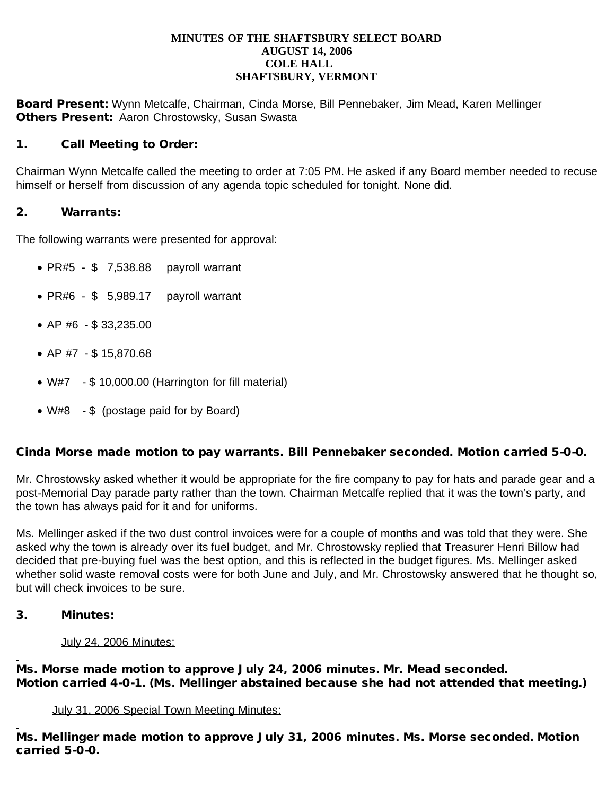#### **MINUTES OF THE SHAFTSBURY SELECT BOARD AUGUST 14, 2006 COLE HALL SHAFTSBURY, VERMONT**

Board Present: Wynn Metcalfe, Chairman, Cinda Morse, Bill Pennebaker, Jim Mead, Karen Mellinger **Others Present: Aaron Chrostowsky, Susan Swasta** 

### 1. Call Meeting to Order:

Chairman Wynn Metcalfe called the meeting to order at 7:05 PM. He asked if any Board member needed to recuse himself or herself from discussion of any agenda topic scheduled for tonight. None did.

#### 2. Warrants:

The following warrants were presented for approval:

- $\bullet$  PR#5 \$ 7,538.88 payroll warrant
- PR#6  $$$  5,989.17 payroll warrant
- · AP #6 \$ 33,235.00
- · AP #7 \$ 15,870.68
- · W#7 \$ 10,000.00 (Harrington for fill material)
- · W#8 \$ (postage paid for by Board)

### Cinda Morse made motion to pay warrants. Bill Pennebaker seconded. Motion carried 5-0-0.

Mr. Chrostowsky asked whether it would be appropriate for the fire company to pay for hats and parade gear and a post-Memorial Day parade party rather than the town. Chairman Metcalfe replied that it was the town's party, and the town has always paid for it and for uniforms.

Ms. Mellinger asked if the two dust control invoices were for a couple of months and was told that they were. She asked why the town is already over its fuel budget, and Mr. Chrostowsky replied that Treasurer Henri Billow had decided that pre-buying fuel was the best option, and this is reflected in the budget figures. Ms. Mellinger asked whether solid waste removal costs were for both June and July, and Mr. Chrostowsky answered that he thought so, but will check invoices to be sure.

#### 3. Minutes:

#### July 24, 2006 Minutes:

Ms. Morse made motion to approve July 24, 2006 minutes. Mr. Mead seconded. Motion carried 4-0-1. (Ms. Mellinger abstained because she had not attended that meeting.)

#### July 31, 2006 Special Town Meeting Minutes:

Ms. Mellinger made motion to approve July 31, 2006 minutes. Ms. Morse seconded. Motion carried 5-0-0.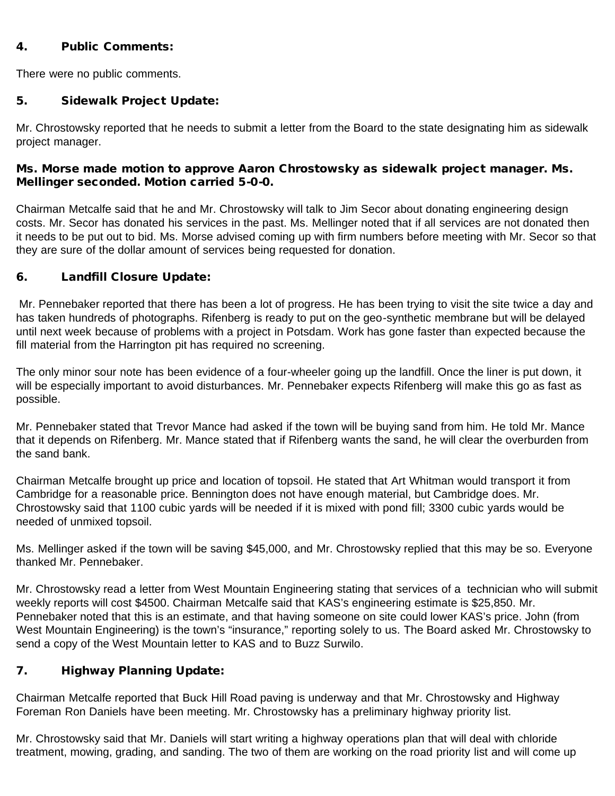### 4. Public Comments:

There were no public comments.

## 5. Sidewalk Project Update:

Mr. Chrostowsky reported that he needs to submit a letter from the Board to the state designating him as sidewalk project manager.

### Ms. Morse made motion to approve Aaron Chrostowsky as sidewalk project manager. Ms. Mellinger seconded. Motion carried 5-0-0.

Chairman Metcalfe said that he and Mr. Chrostowsky will talk to Jim Secor about donating engineering design costs. Mr. Secor has donated his services in the past. Ms. Mellinger noted that if all services are not donated then it needs to be put out to bid. Ms. Morse advised coming up with firm numbers before meeting with Mr. Secor so that they are sure of the dollar amount of services being requested for donation.

# 6. Landfill Closure Update:

Mr. Pennebaker reported that there has been a lot of progress. He has been trying to visit the site twice a day and has taken hundreds of photographs. Rifenberg is ready to put on the geo-synthetic membrane but will be delayed until next week because of problems with a project in Potsdam. Work has gone faster than expected because the fill material from the Harrington pit has required no screening.

The only minor sour note has been evidence of a four-wheeler going up the landfill. Once the liner is put down, it will be especially important to avoid disturbances. Mr. Pennebaker expects Rifenberg will make this go as fast as possible.

Mr. Pennebaker stated that Trevor Mance had asked if the town will be buying sand from him. He told Mr. Mance that it depends on Rifenberg. Mr. Mance stated that if Rifenberg wants the sand, he will clear the overburden from the sand bank.

Chairman Metcalfe brought up price and location of topsoil. He stated that Art Whitman would transport it from Cambridge for a reasonable price. Bennington does not have enough material, but Cambridge does. Mr. Chrostowsky said that 1100 cubic yards will be needed if it is mixed with pond fill; 3300 cubic yards would be needed of unmixed topsoil.

Ms. Mellinger asked if the town will be saving \$45,000, and Mr. Chrostowsky replied that this may be so. Everyone thanked Mr. Pennebaker.

Mr. Chrostowsky read a letter from West Mountain Engineering stating that services of a technician who will submit weekly reports will cost \$4500. Chairman Metcalfe said that KAS's engineering estimate is \$25,850. Mr. Pennebaker noted that this is an estimate, and that having someone on site could lower KAS's price. John (from West Mountain Engineering) is the town's "insurance," reporting solely to us. The Board asked Mr. Chrostowsky to send a copy of the West Mountain letter to KAS and to Buzz Surwilo.

# 7. Highway Planning Update:

Chairman Metcalfe reported that Buck Hill Road paving is underway and that Mr. Chrostowsky and Highway Foreman Ron Daniels have been meeting. Mr. Chrostowsky has a preliminary highway priority list.

Mr. Chrostowsky said that Mr. Daniels will start writing a highway operations plan that will deal with chloride treatment, mowing, grading, and sanding. The two of them are working on the road priority list and will come up